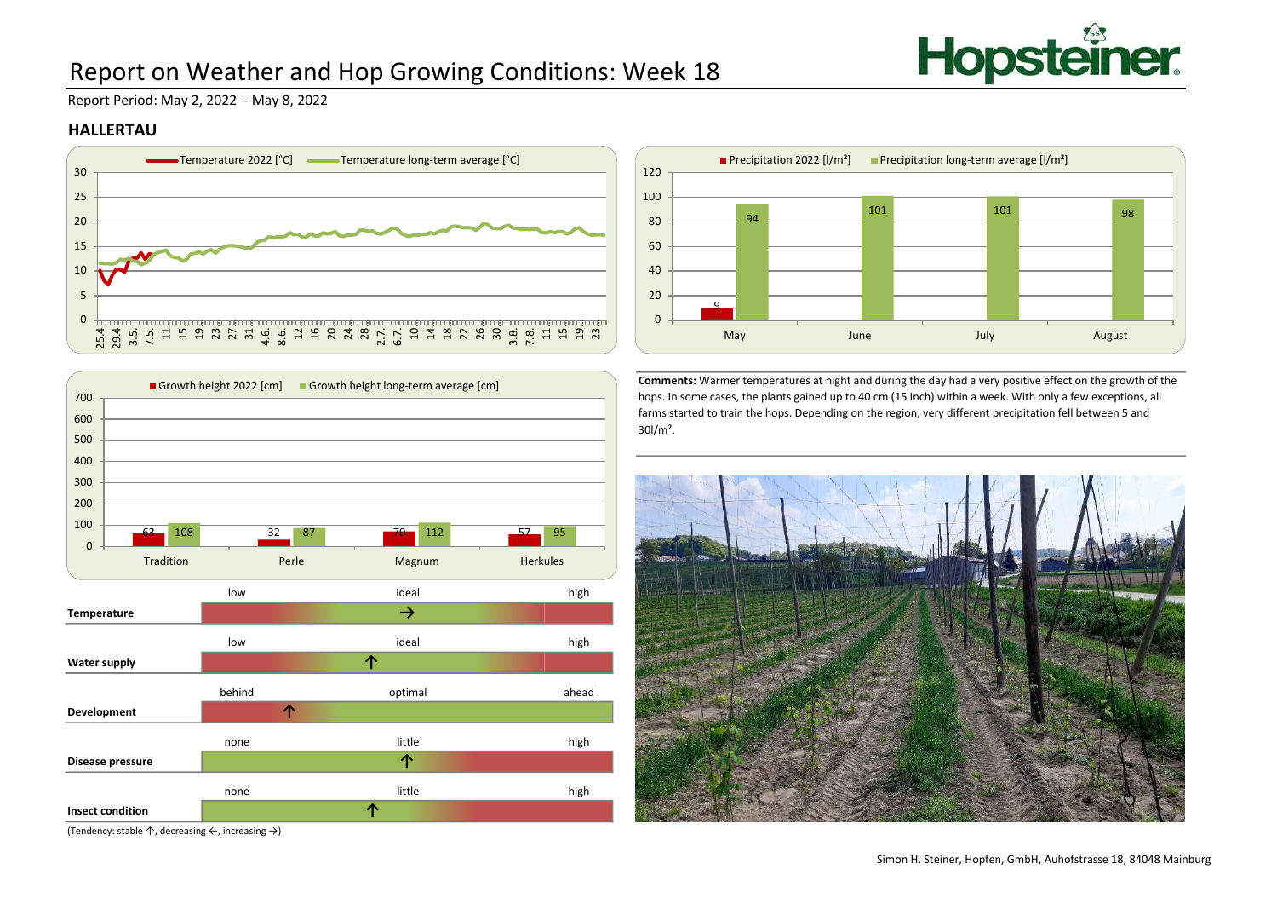

# Report on Weather and Hop Growing Conditions: Week 18

Report Period: May 2, 2022 - May 8, 2022

#### HALLERTAU





(Tendency: stable ↑, decreasing ←, increasing →)



Comments: Warmer temperatures at night and during the day had a very positive effect on the growth of the hops. In some cases, the plants gained up to 40 cm (15 Inch) within a week. With only a few exceptions, all farms started to train the hops. Depending on the region, very different precipitation fell between 5 and 30l/m².

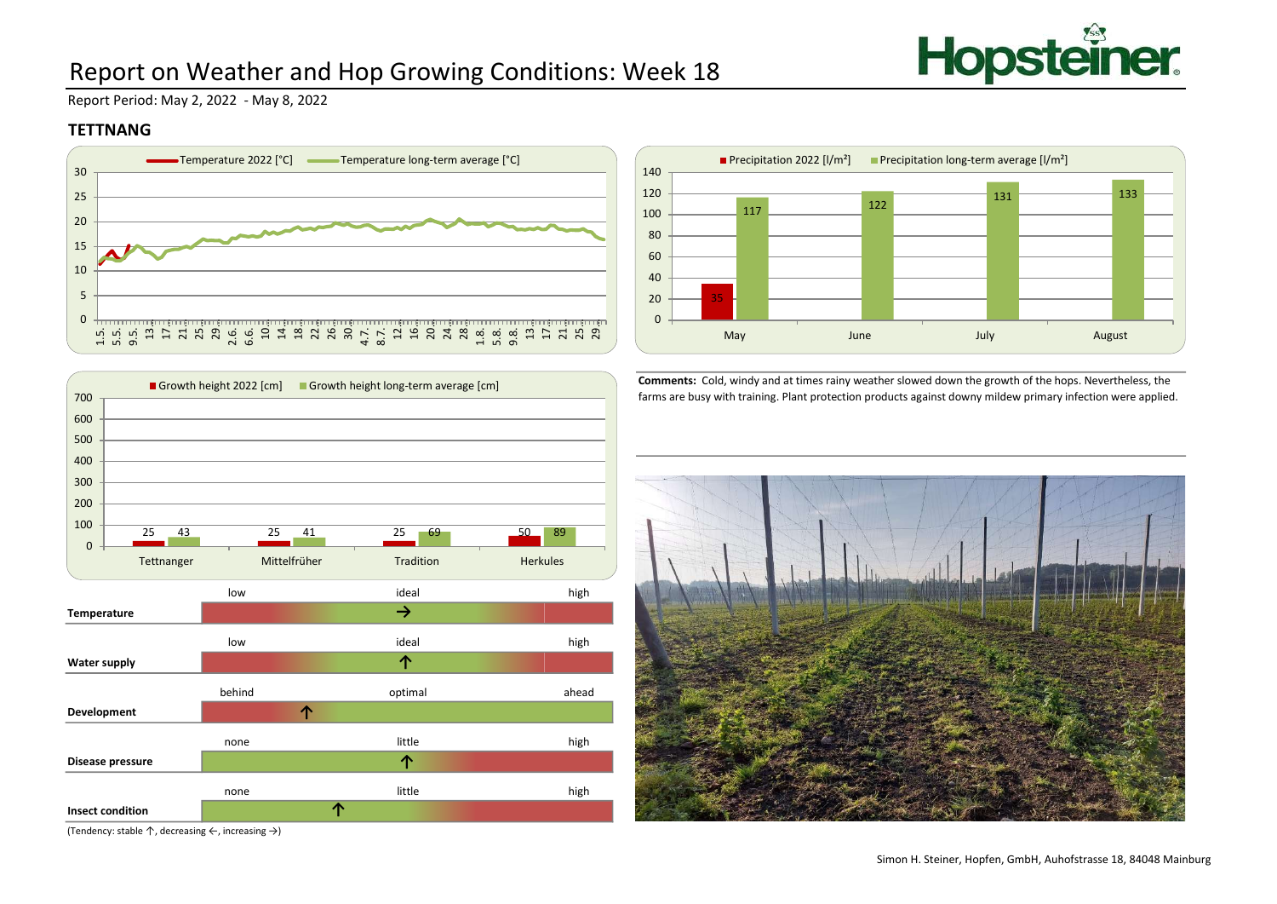

# Report on Weather and Hop Growing Conditions: Week 18

Report Period: May 2, 2022 - May 8, 2022

### **TETTNANG**





low high Temperature low high Water supply behind ahead optimal ahead Development none high Disease pressure none high Insect condition ideal ideal optimal little little ↑ ↑ 25 25 25 50 43 41 69 89 0  $\frac{100}{25}$   $\frac{12}{25}$   $\frac{12}{25}$   $\frac{11}{25}$ 200 300 400 500 600 700 T Tetnanger Mittelführer Mittelführer Tradition Herkules<br>
Tetnanger Mittelführer Mittelführer Mittelführer Mittelführer Mittelführer Mittelführer Mittelführer Mittelführer Mittelführer Mittelführer Mittelführer Mittelführer Growth height 2022 [cm] Growth height long-term average [cm]

Comments: Cold, windy and at times rainy weather slowed down the growth of the hops. Nevertheless, the farms are busy with training. Plant protection products against downy mildew primary infection were applied.



(Tendency: stable ↑, decreasing ←, increasing →)